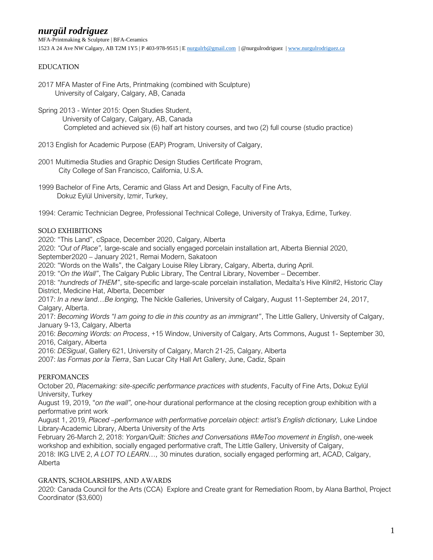MFA-Printmaking & Sculpture | BFA-Ceramics 1523 A 24 Ave NW Calgary, AB T2M 1Y5 | P 403-978-9515 | E [nurgulrb@gmail.com](mailto:nurgulrb@gmail.com) | @nurgulrodriguez | [www.nurgulrodriguez.ca](http://www.nurgulrodriguez.ca/)

#### EDUCATION

2017 MFA Master of Fine Arts, Printmaking (combined with Sculpture) University of Calgary, Calgary, AB, Canada

Spring 2013 - Winter 2015: Open Studies Student, University of Calgary, Calgary, AB, Canada Completed and achieved six (6) half art history courses, and two (2) full course (studio practice)

2013 English for Academic Purpose (EAP) Program, University of Calgary,

- 2001 Multimedia Studies and Graphic Design Studies Certificate Program, City College of San Francisco, California, U.S.A.
- 1999 Bachelor of Fine Arts, Ceramic and Glass Art and Design, Faculty of Fine Arts, Dokuz Eylül University, Izmir, Turkey,

1994: Ceramic Technician Degree, Professional Technical College, University of Trakya, Edirne, Turkey.

### SOLO EXHIBITIONS

2020: "This Land", cSpace, December 2020, Calgary, Alberta

2020: *"Out of Place",* large-scale and socially engaged porcelain installation art, Alberta Biennial 2020,

September2020 – January 2021, Remai Modern, Sakatoon

2020: "Words on the Walls", the Calgary Louise Riley Library, Calgary, Alberta, during April.

2019: "*On the Wall"*, The Calgary Public Library, The Central Library, November – December.

2018: "*hundreds of THEM"*, site-specific and large-scale porcelain installation, Medalta's Hive Kiln#2, Historic Clay District, Medicine Hat, Alberta, December

2017: *In a new land…Be longing,* The Nickle Galleries, University of Calgary, August 11-September 24, 2017, Calgary, Alberta.

2017: *Becoming Words "I am going to die in this country as an immigrant"*, The Little Gallery, University of Calgary, January 9-13, Calgary, Alberta

2016: *Becoming Words: on Process*, +15 Window, University of Calgary, Arts Commons, August 1- September 30, 2016, Calgary, Alberta

2016: *DESigual*, Gallery 621, University of Calgary, March 21-25, Calgary, Alberta

2007: *las Formas por la Tierra*, San Lucar City Hall Art Gallery, June, Cadiz, Spain

## PERFOMANCES

October 20, *Placemaking: site-specific performance practices with students*, Faculty of Fine Arts, Dokuz Eylül University, Turkey

August 19, 2019, "*on the wall",* one-hour durational performance at the closing reception group exhibition with a performative print work

August 1, 2019, *Placed –performance with performative porcelain object: artist's English dictionary,* Luke Lindoe Library-Academic Library, Alberta University of the Arts

February 26-March 2, 2018: *Yorgan/Quilt: Stiches and Conversations #MeToo movement in English*, one-week workshop and exhibition, socially engaged performative craft, The Little Gallery, University of Calgary,

2018: IKG LIVE 2, *A LOT TO LEARN…,* 30 minutes duration, socially engaged performing art, ACAD, Calgary, Alberta

#### GRANTS, SCHOLARSHIPS, AND AWARDS

2020: Canada Council for the Arts (CCA) Explore and Create grant for Remediation Room, by Alana Barthol, Project Coordinator (\$3,600)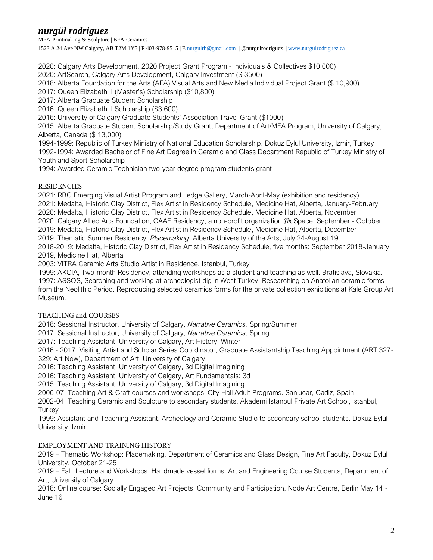MFA-Printmaking & Sculpture | BFA-Ceramics 1523 A 24 Ave NW Calgary, AB T2M 1Y5 | P 403-978-9515 | E [nurgulrb@gmail.com](mailto:nurgulrb@gmail.com) | @nurgulrodriguez | [www.nurgulrodriguez.ca](http://www.nurgulrodriguez.ca/)

2020: Calgary Arts Development, 2020 Project Grant Program - Individuals & Collectives \$10,000)

2020: ArtSearch, Calgary Arts Development, Calgary Investment (\$ 3500)

2018: Alberta Foundation for the Arts (AFA) Visual Arts and New Media Individual Project Grant (\$ 10,900)

2017: Queen Elizabeth II (Master's) Scholarship (\$10,800)

2017: Alberta Graduate Student Scholarship

2016: Queen Elizabeth II Scholarship (\$3,600)

2016: University of Calgary Graduate Students' Association Travel Grant (\$1000)

2015: Alberta Graduate Student Scholarship/Study Grant, Department of Art/MFA Program, University of Calgary, Alberta, Canada (\$ 13,000)

1994-1999: Republic of Turkey Ministry of National Education Scholarship, Dokuz Eylül University, Izmir, Turkey

1992-1994: Awarded Bachelor of Fine Art Degree in Ceramic and Glass Department Republic of Turkey Ministry of Youth and Sport Scholarship

1994: Awarded Ceramic Technician two-year degree program students grant

### RESIDENCIES

2021: RBC Emerging Visual Artist Program and Ledge Gallery, March-April-May (exhibition and residency)

2021: Medalta, Historic Clay District, Flex Artist in Residency Schedule, Medicine Hat, Alberta, January-February

2020: Medalta, Historic Clay District, Flex Artist in Residency Schedule, Medicine Hat, Alberta, November

2020: Calgary Allied Arts Foundation, CAAF Residency, a non-profit organization @cSpace, September - October

2019: Medalta, Historic Clay District, Flex Artist in Residency Schedule, Medicine Hat, Alberta, December

2019: Thematic Summer Residency: *Placemaking*, Alberta University of the Arts, July 24-August 19

2018-2019: Medalta, Historic Clay District, Flex Artist in Residency Schedule, five months: September 2018-January 2019, Medicine Hat, Alberta

2003: VITRA Ceramic Arts Studio Artist in Residence, Istanbul, Turkey

1999: AKCIA, Two-month Residency, attending workshops as a student and teaching as well. Bratislava, Slovakia. 1997: ASSOS, Searching and working at archeologist dig in West Turkey. Researching on Anatolian ceramic forms from the Neolithic Period. Reproducing selected ceramics forms for the private collection exhibitions at Kale Group Art Museum.

## TEACHING and COURSES

2018: Sessional Instructor, University of Calgary, *Narrative Ceramics,* Spring/Summer

2017: Sessional Instructor, University of Calgary, *Narrative Ceramics,* Spring

2017: Teaching Assistant, University of Calgary, Art History, Winter

2016 - 2017: Visiting Artist and Scholar Series Coordinator, Graduate Assistantship Teaching Appointment (ART 327- 329: Art Now), Department of Art, University of Calgary.

2016: Teaching Assistant, University of Calgary, 3d Digital Imagining

2016: Teaching Assistant, University of Calgary, Art Fundamentals: 3d

2015: Teaching Assistant, University of Calgary, 3d Digital Imagining

2006-07: Teaching Art & Craft courses and workshops. City Hall Adult Programs. Sanlucar, Cadiz, Spain

2002-04: Teaching Ceramic and Sculpture to secondary students. Akademi Istanbul Private Art School, Istanbul, **Turkey** 

1999: Assistant and Teaching Assistant, Archeology and Ceramic Studio to secondary school students. Dokuz Eylul University, Izmir

## EMPLOYMENT AND TRAINING HISTORY

2019 – Thematic Workshop: Placemaking, Department of Ceramics and Glass Design, Fine Art Faculty, Dokuz Eylul University, October 21-25

2019 – Fall: Lecture and Workshops: Handmade vessel forms, Art and Engineering Course Students, Department of Art, University of Calgary

2018: Online course: Socially Engaged Art Projects: Community and Participation, Node Art Centre, Berlin May 14 - June 16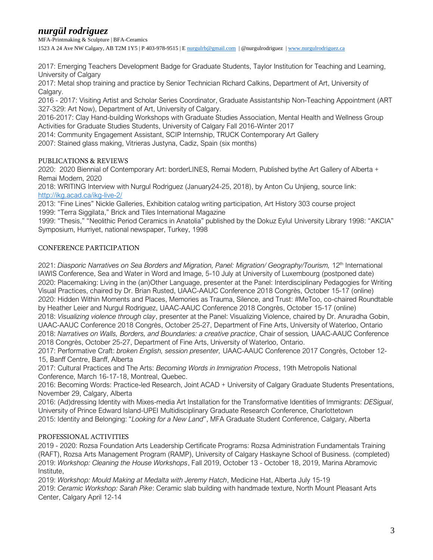MFA-Printmaking & Sculpture | BFA-Ceramics 1523 A 24 Ave NW Calgary, AB T2M 1Y5 | P 403-978-9515 | E [nurgulrb@gmail.com](mailto:nurgulrb@gmail.com) | @nurgulrodriguez | [www.nurgulrodriguez.ca](http://www.nurgulrodriguez.ca/)

2017: Emerging Teachers Development Badge for Graduate Students, Taylor Institution for Teaching and Learning, University of Calgary

2017: Metal shop training and practice by Senior Technician Richard Calkins, Department of Art, University of Calgary.

2016 - 2017: Visiting Artist and Scholar Series Coordinator, Graduate Assistantship Non-Teaching Appointment (ART 327-329: Art Now), Department of Art, University of Calgary.

2016-2017: Clay Hand-building Workshops with Graduate Studies Association, Mental Health and Wellness Group Activities for Graduate Studies Students, University of Calgary Fall 2016-Winter 2017

2014: Community Engagement Assistant, SCIP Internship, TRUCK Contemporary Art Gallery

2007: Stained glass making, Vitrieras Justyna, Cadiz, Spain (six months)

### PUBLICATIONS & REVIEWS

2020: 2020 Biennial of Contemporary Art: borderLINES, Remai Modern, Published bythe Art Gallery of Alberta + Remai Modern, 2020

2018: WRITING Interview with Nurgul Rodriguez (January24-25, 2018), by Anton Cu Unjieng, source link: <http://ikg.acad.ca/ikg-live-2/>

2013: "Fine Lines" Nickle Galleries, Exhibition catalog writing participation, Art History 303 course project 1999: "Terra Siggilata," Brick and Tiles International Magazine

1999: "Thesis," "Neolithic Period Ceramics in Anatolia" published by the Dokuz Eylul University Library 1998: "AKCIA" Symposium, Hurriyet, national newspaper, Turkey, 1998

### CONFERENCE PARTICIPATION

2021: *Diasporic Narratives on Sea Borders and Migration, Panel: Migration/ Geography/Tourism,* 12th International IAWIS Conference, Sea and Water in Word and Image, 5-10 July at University of Luxembourg (postponed date) 2020: Placemaking: Living in the (an)Other Language, presenter at the Panel: Interdisciplinary Pedagogies for Writing Visual Practices, chaired by Dr. Brian Rusted, UAAC-AAUC Conference 2018 Congrès, October 15-17 (online) 2020: Hidden Within Moments and Places, Memories as Trauma, Silence, and Trust: #MeToo, co-chaired Roundtable by Heather Leier and Nurgul Rodriguez, UAAC-AAUC Conference 2018 Congrès, October 15-17 (online) 2018: *Visualizing violence through clay*, presenter at the Panel: Visualizing Violence, chaired by Dr. Anuradha Gobin, UAAC-AAUC Conference 2018 Congrès, October 25-27, Department of Fine Arts, University of Waterloo, Ontario 2018: *Narratives on Walls, Borders, and Boundaries: a creative practice*, Chair of session*,* UAAC-AAUC Conference 2018 Congrès, October 25-27, Department of Fine Arts, University of Waterloo, Ontario.

2017: Performative Craft: *broken English, session presenter,* UAAC-AAUC Conference 2017 Congrès, October 12- 15, Banff Centre, Banff, Alberta

2017: Cultural Practices and The Arts: *Becoming Words in Immigration Process*, 19th Metropolis National Conference, March 16-17-18, Montreal, Quebec.

2016: Becoming Words: Practice-led Research, Joint ACAD + University of Calgary Graduate Students Presentations, November 29, Calgary, Alberta

2016: (Ad)dressing Identity with Mixes-media Art Installation for the Transformative Identities of Immigrants: *DESigual*, University of Prince Edward Island-UPEI Multidisciplinary Graduate Research Conference, Charlottetown 2015: Identity and Belonging: "*Looking for a New Land*", MFA Graduate Student Conference, Calgary, Alberta

## PROFESSIONAL ACTIVITIES

2019 - 2020: Rozsa Foundation Arts Leadership Certificate Programs: Rozsa Administration Fundamentals Training (RAFT), Rozsa Arts Management Program (RAMP), University of Calgary Haskayne School of Business. (completed) 2019: *Workshop: Cleaning the House Workshops*, Fall 2019, October 13 - October 18, 2019, Marina Abramovic Institute,

2019: *Workshop: Mould Making at Medalta with Jeremy Hatch*, Medicine Hat, Alberta July 15-19 2019: *Ceramic Workshop: Sarah Pike*: Ceramic slab building with handmade texture, North Mount Pleasant Arts Center, Calgary April 12-14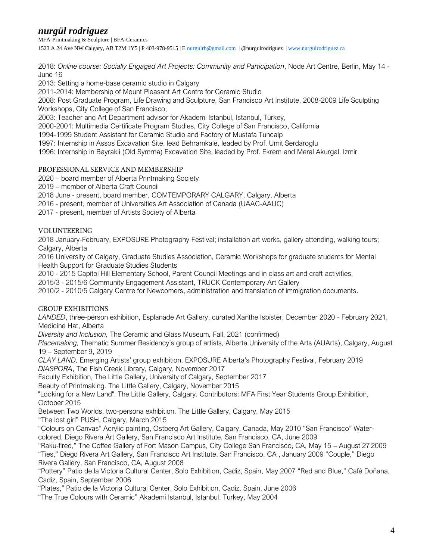MFA-Printmaking & Sculpture | BFA-Ceramics 1523 A 24 Ave NW Calgary, AB T2M 1Y5 | P 403-978-9515 | E [nurgulrb@gmail.com](mailto:nurgulrb@gmail.com) | @nurgulrodriguez | [www.nurgulrodriguez.ca](http://www.nurgulrodriguez.ca/)

2018: *Online course: Socially Engaged Art Projects: Community and Participation*, Node Art Centre, Berlin, May 14 - June 16

2013: Setting a home-base ceramic studio in Calgary

2011-2014: Membership of Mount Pleasant Art Centre for Ceramic Studio

2008: Post Graduate Program, Life Drawing and Sculpture, San Francisco Art Institute, 2008-2009 Life Sculpting Workshops, City College of San Francisco,

2003: Teacher and Art Department advisor for Akademi Istanbul, Istanbul, Turkey,

2000-2001: Multimedia Certificate Program Studies, City College of San Francisco, California

1994-1999 Student Assistant for Ceramic Studio and Factory of Mustafa Tuncalp

1997: Internship in Assos Excavation Site, lead Behramkale, leaded by Prof. Umit Serdaroglu

1996: Internship in Bayrakli (Old Symrna) Excavation Site, leaded by Prof. Ekrem and Meral Akurgal. Izmir

#### PROFESSIONAL SERVICE AND MEMBERSHIP

2020 – board member of Alberta Printmaking Society

2019 – member of Alberta Craft Council

2018 June - present, board member, COMTEMPORARY CALGARY, Calgary, Alberta

2016 - present, member of Universities Art Association of Canada (UAAC-AAUC)

2017 - present, member of Artists Society of Alberta

### VOLUNTEERING

2018 January-February, EXPOSURE Photography Festival; installation art works, gallery attending, walking tours; Calgary, Alberta

2016 University of Calgary, Graduate Studies Association, Ceramic Workshops for graduate students for Mental Health Support for Graduate Studies Students

2010 - 2015 Capitol Hill Elementary School, Parent Council Meetings and in class art and craft activities,

2015/3 - 2015/6 Community Engagement Assistant, TRUCK Contemporary Art Gallery

2010/2 - 2010/5 Calgary Centre for Newcomers, administration and translation of immigration documents.

#### GROUP EXHIBITIONS

*LANDED*, three-person exhibition, Esplanade Art Gallery, curated Xanthe Isbister, December 2020 - February 2021, Medicine Hat, Alberta

*Diversity and Inclusion,* The Ceramic and Glass Museum*,* Fall, 2021 (confirmed)

*Placemaking,* Thematic Summer Residency's group of artists, Alberta University of the Arts (AUArts), Calgary, August 19 – September 9, 2019

*CLAY LAND,* Emerging Artists' group exhibition, EXPOSURE Alberta's Photography Festival, February 2019 *DIASPORA*, The Fish Creek Library, Calgary, November 2017

Faculty Exhibition, The Little Gallery, University of Calgary, September 2017

Beauty of Printmaking. The Little Gallery, Calgary, November 2015

"Looking for a New Land". The Little Gallery, Calgary. Contributors: MFA First Year Students Group Exhibition, October 2015

Between Two Worlds, two-persona exhibition. The Little Gallery, Calgary, May 2015

"The lost girl" PUSH, Calgary, March 2015

"Colours on Canvas" Acrylic painting, Ostberg Art Gallery, Calgary, Canada, May 2010 "San Francisco" Watercolored, Diego Rivera Art Gallery, San Francisco Art Institute, San Francisco, CA, June 2009

"Raku-fired," The Coffee Gallery of Fort Mason Campus, City College San Francisco, CA, May 15 – August 272009 "Ties," Diego Rivera Art Gallery, San Francisco Art Institute, San Francisco, CA , January 2009 "Couple," Diego Rivera Gallery, San Francisco, CA, August 2008

"Pottery" Patio de la Victoria Cultural Center, Solo Exhibition, Cadiz, Spain, May 2007 "Red and Blue," Café Doñana, Cadiz, Spain, September 2006

"Plates," Patio de la Victoria Cultural Center, Solo Exhibition, Cadiz, Spain, June 2006

"The True Colours with Ceramic" Akademi Istanbul, Istanbul, Turkey, May 2004